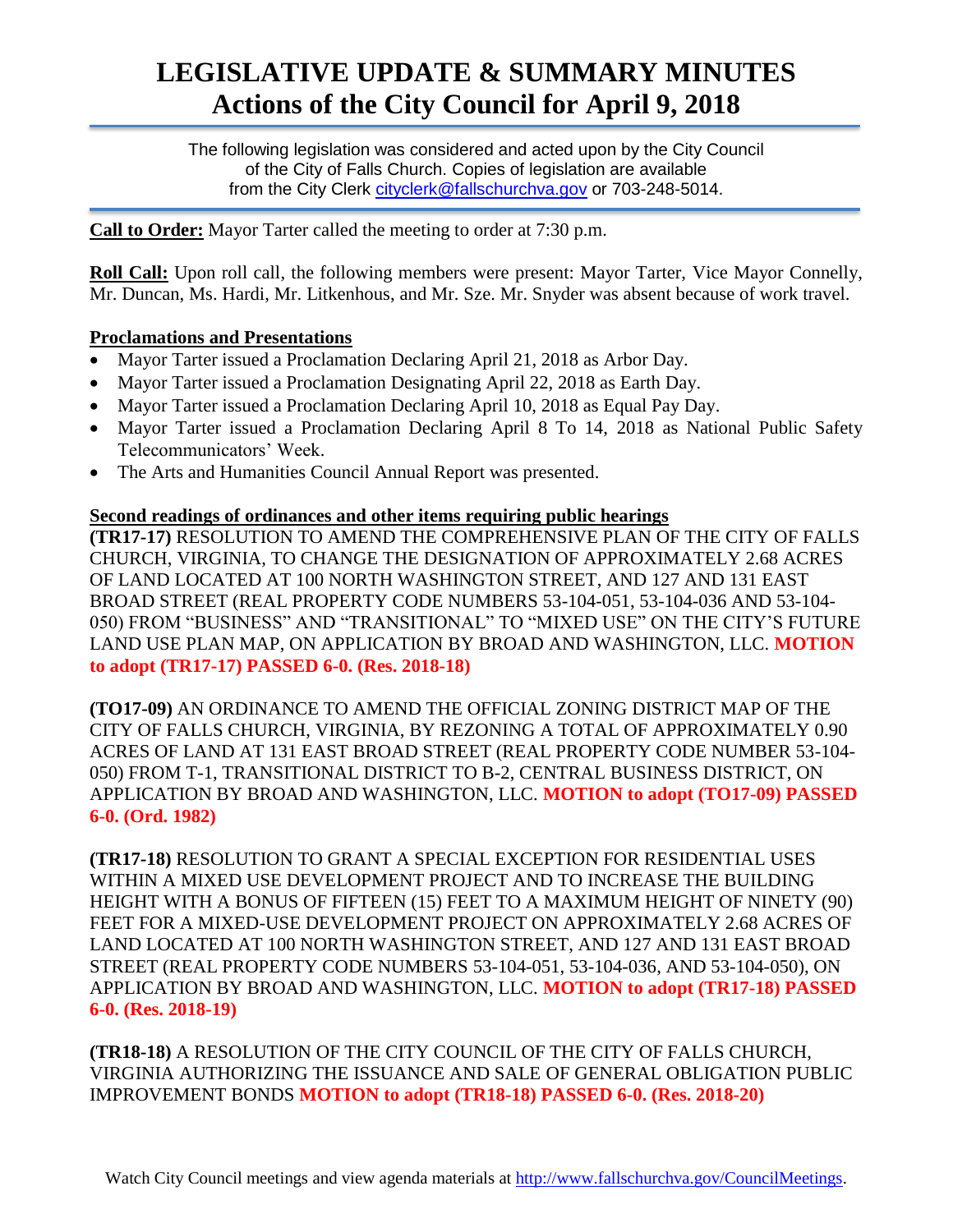# **LEGISLATIVE UPDATE & SUMMARY MINUTES Actions of the City Council for April 9, 2018**

The following legislation was considered and acted upon by the City Council of the City of Falls Church. Copies of legislation are available from the City Clerk cityclerk@fallschurchya.gov or 703-248-5014.

**Call to Order:** Mayor Tarter called the meeting to order at 7:30 p.m.

**Roll Call:** Upon roll call, the following members were present: Mayor Tarter, Vice Mayor Connelly, Mr. Duncan, Ms. Hardi, Mr. Litkenhous, and Mr. Sze. Mr. Snyder was absent because of work travel.

## **Proclamations and Presentations**

- Mayor Tarter issued a Proclamation Declaring April 21, 2018 as Arbor Day.
- Mayor Tarter issued a Proclamation Designating April 22, 2018 as Earth Day.
- Mayor Tarter issued a Proclamation Declaring April 10, 2018 as Equal Pay Day.
- Mayor Tarter issued a Proclamation Declaring April 8 To 14, 2018 as National Public Safety Telecommunicators' Week.
- The Arts and Humanities Council Annual Report was presented.

#### **Second readings of ordinances and other items requiring public hearings**

**(TR17-17)** RESOLUTION TO AMEND THE COMPREHENSIVE PLAN OF THE CITY OF FALLS CHURCH, VIRGINIA, TO CHANGE THE DESIGNATION OF APPROXIMATELY 2.68 ACRES OF LAND LOCATED AT 100 NORTH WASHINGTON STREET, AND 127 AND 131 EAST BROAD STREET (REAL PROPERTY CODE NUMBERS 53-104-051, 53-104-036 AND 53-104- 050) FROM "BUSINESS" AND "TRANSITIONAL" TO "MIXED USE" ON THE CITY'S FUTURE LAND USE PLAN MAP, ON APPLICATION BY BROAD AND WASHINGTON, LLC. **MOTION to adopt (TR17-17) PASSED 6-0. (Res. 2018-18)**

**(TO17-09)** AN ORDINANCE TO AMEND THE OFFICIAL ZONING DISTRICT MAP OF THE CITY OF FALLS CHURCH, VIRGINIA, BY REZONING A TOTAL OF APPROXIMATELY 0.90 ACRES OF LAND AT 131 EAST BROAD STREET (REAL PROPERTY CODE NUMBER 53-104- 050) FROM T-1, TRANSITIONAL DISTRICT TO B-2, CENTRAL BUSINESS DISTRICT, ON APPLICATION BY BROAD AND WASHINGTON, LLC. **MOTION to adopt (TO17-09) PASSED 6-0. (Ord. 1982)**

**(TR17-18)** RESOLUTION TO GRANT A SPECIAL EXCEPTION FOR RESIDENTIAL USES WITHIN A MIXED USE DEVELOPMENT PROJECT AND TO INCREASE THE BUILDING HEIGHT WITH A BONUS OF FIFTEEN (15) FEET TO A MAXIMUM HEIGHT OF NINETY (90) FEET FOR A MIXED-USE DEVELOPMENT PROJECT ON APPROXIMATELY 2.68 ACRES OF LAND LOCATED AT 100 NORTH WASHINGTON STREET, AND 127 AND 131 EAST BROAD STREET (REAL PROPERTY CODE NUMBERS 53-104-051, 53-104-036, AND 53-104-050), ON APPLICATION BY BROAD AND WASHINGTON, LLC. **MOTION to adopt (TR17-18) PASSED 6-0. (Res. 2018-19)**

**(TR18-18)** A RESOLUTION OF THE CITY COUNCIL OF THE CITY OF FALLS CHURCH, VIRGINIA AUTHORIZING THE ISSUANCE AND SALE OF GENERAL OBLIGATION PUBLIC IMPROVEMENT BONDS **MOTION to adopt (TR18-18) PASSED 6-0. (Res. 2018-20)**